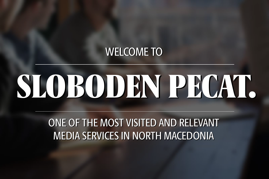## **WELCOME TO**

# SLOBODEN PECAT.

ONE OF THE MOST VISITED AND RELEVANT ONE OF THE MOST VISITED AND RELEVANT MEDIA SERVICES IN NORTH MACEDONIA MEDIA SERVICES IN NORTH MACEDONIA

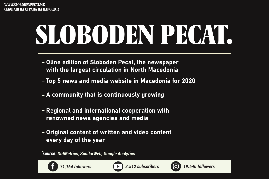# SLOBODEN PROAT.







- Oline edition of Sloboden Pecat, the newspaper with the largest circulation in North Macedonia
- Top 5 news and media website in Macedonia for 2020
- A community that is continuously growing
- Regional and international cooperation with renowned news agencies and media
- Original content of written and video content every day of the year

*source: DotMetrics, SimilarWeb, Google Analytics* 

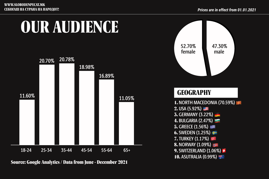

52.70%

# OUR AUDIENCE



Source: Google Analytics / Data from June - December 2021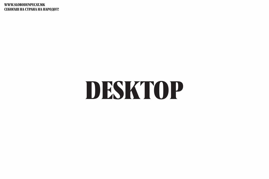### WWW.SLOBODENPECAT.MK СЕКОГАШ НА СТРАНА НА НАРОДОТ!

# DESKTOP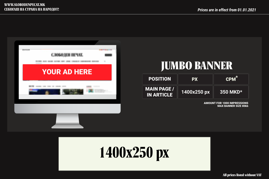### AMOUNT FOR 1000 IMPRESSIONS MAX BANNER SIZE 80kb





## $CPM^*$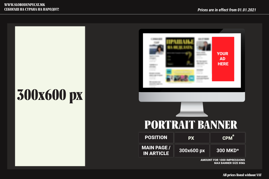# **300x600 px**





All prices listed without VAT



AMOUNT FOR 1000 IMPRESSIONS MAX BANNER SIZE 80kb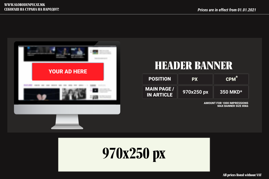

## $CPM^*$



All prices listed without VAT

## **970x250 px 350 MKD\***

## HEADER BANNER

### AMOUNT FOR 1000 IMPRESSIONS MAX BANNER SIZE 80kb

| <b>POSITION</b>                         | <b>PX</b>  |
|-----------------------------------------|------------|
| <b>MAIN PAGE /</b><br><b>IN ARTICLE</b> | 970x250 px |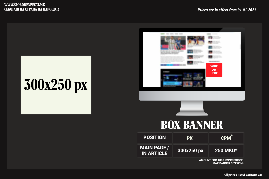# **300x250 px**

All prices listed without VAT



| <b>POSITION</b>                         | <b>PX</b>  |
|-----------------------------------------|------------|
| <b>MAIN PAGE /</b><br><b>IN ARTICLE</b> | 300x250 px |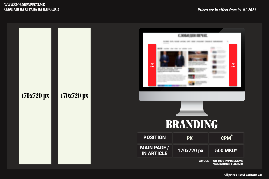

## MAX BANNER SIZE 80kb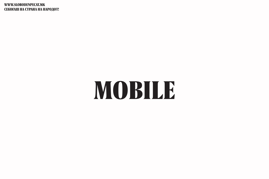## WWW.SLOBODENPECAT.MK СЕКОГАШ НА СТРАНА НА НАРОДОТ!

# MOBILE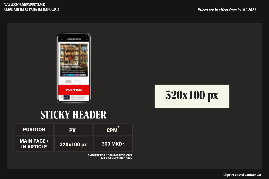## **STICKY HEADER**





| <b>POSITION</b>                         | <b>PX</b>  | <b>CPM</b>         |
|-----------------------------------------|------------|--------------------|
| <b>MAIN PAGE /</b><br><b>IN ARTICLE</b> | 320x100 px | 300 MKD $^{\star}$ |

AMOUNT FOR 1000 IMPRESSIONS MAX BANNER SIZE 80kb



### All prices listed without VAT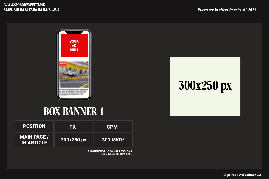# **300x250 px**

All prices listed without VAT

## **BOX BANNER 1**



| <b>POSITION</b>                         | <b>PX</b>  | <b>CPM</b>      |
|-----------------------------------------|------------|-----------------|
| <b>MAIN PAGE /</b><br><b>IN ARTICLE</b> | 300x250 px | <b>300 MKD*</b> |

AMOUNT FOR 1000 IMPRESSIONS MAX BANNER SIZE 80kb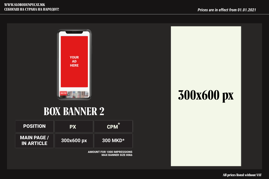

## **300x600 px**



## **BOX BANNER 2**

| <b>POSITION</b>                         | <b>PX</b>  | <b>CPM</b>  |
|-----------------------------------------|------------|-------------|
| <b>MAIN PAGE /</b><br><b>IN ARTICLE</b> | 300x600 px | 300 MKD $*$ |

AMOUNT FOR 1000 IMPRESSIONS MAX BANNER SIZE 80kb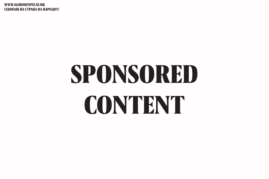WWW.SLOBODENPECAT.MK СЕКОГАШ НА СТРАНА НА НАРОДОТ!

# SPONSORED CONTENT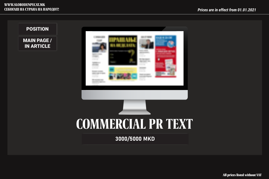3000/5000 MKD

All prices listed without VAT

## POSITION

MAIN PAGE / IN ARTICLE





### WWW.SLOBODENPECAT.MK СЕКОГАШ НА СТРАНА НА НАРОДОТ!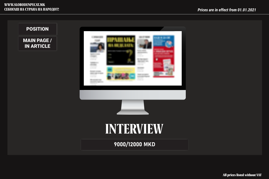

MAIN PAGE / IN ARTICLE





9000/12000 MKD

## POSITION

## WWW.SLOBODENPECAT.MK СЕКОГАШ НА СТРАНА НА НАРОДОТ!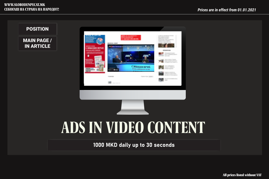## POSITION

MAIN PAGE / IN ARTICLE



1000 MKD daily up to 30 seconds

# **ADS IN VIDEO CONTENT**

### WWW.SLOBODENPECAT.MK СЕКОГАШ НА СТРАНА НА НАРОДОТ!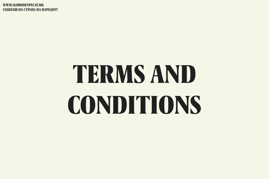WWW.SLOBODENPECAT.MK СЕКОГАШ НА СТРАНА НА НАРОДОТ!

# TERMS AND CONDITIONS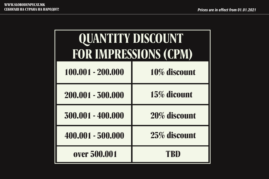| ٠. |           |  |
|----|-----------|--|
|    | rice<br>∼ |  |

| QUANTITY DISCOUNT |                       |
|-------------------|-----------------------|
|                   | FOR IMPRESSIONS (CPM) |
| 100.001 - 200.000 | 10% discount          |
| 200.001 - 300.000 | 15% dicount           |
| 300.001 - 400.000 | 20% discount          |
| 400.001 - 500.000 | 25% discount          |
| over 500.001      | TBD                   |

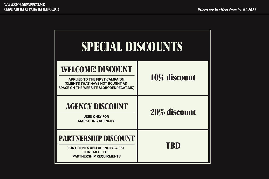| SPECIAL DISCOUNTS                                                                                                                                     |              |
|-------------------------------------------------------------------------------------------------------------------------------------------------------|--------------|
| <b>WELCOME! DISCOUNT</b><br><b>APPLIED TO THE FIRST CAMPAIGN</b><br>(CLIENTS THAT HAVE NOT BOUGHT AD<br><b>SPACE ON THE WEBSITE SLOBODENPECAT.MK)</b> | 10% discount |
| <b>AGENCY DISCOUNT</b><br><b>USED ONLY FOR</b><br><b>MARKETING AGENCIES</b>                                                                           | 20% discount |
| PARTNERSHIP DISCOUNT<br><b>FOR CLIENTS AND AGENCIES ALIKE</b><br><b>THAT MEET THE</b><br><b>PARTNERSHIP REQUIRMENTS</b>                               | TBD          |

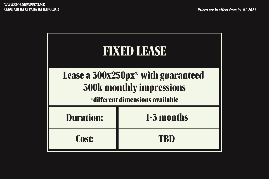